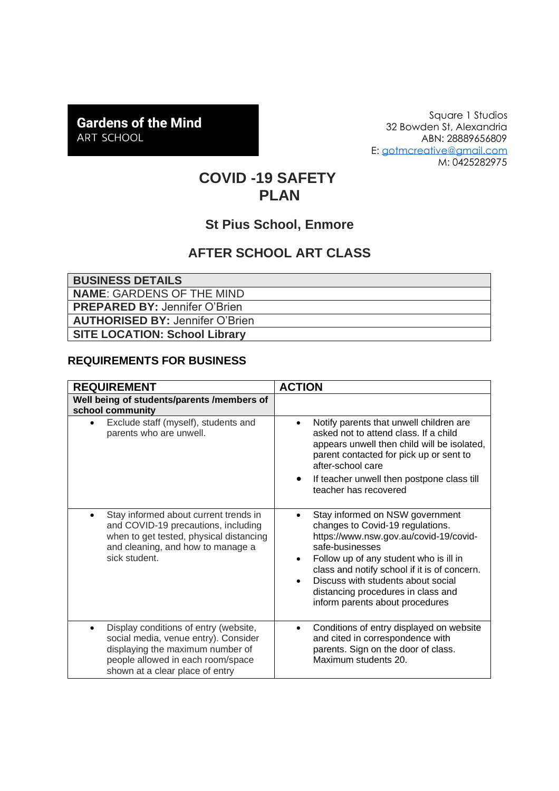# **Gardens of the Mind** ART SCHOOL

Square 1 Studios 32 Bowden St, Alexandria ABN: 28889656809 E: [gotmcreative@gmail.com](mailto:gotmcreative@gmail.com) M: 0425282975

# **COVID -19 SAFETY PLAN**

### **St Pius School, Enmore**

## **AFTER SCHOOL ART CLASS**

| <b>BUSINESS DETAILS</b>                |
|----------------------------------------|
| <b>NAME: GARDENS OF THE MIND</b>       |
| <b>PREPARED BY: Jennifer O'Brien</b>   |
| <b>AUTHORISED BY: Jennifer O'Brien</b> |
| <b>SITE LOCATION: School Library</b>   |

#### **REQUIREMENTS FOR BUSINESS**

| <b>REQUIREMENT</b>                                                                                                                                                                                     | <b>ACTION</b>                                                                                                                                                                                                                                                                                                                                                       |
|--------------------------------------------------------------------------------------------------------------------------------------------------------------------------------------------------------|---------------------------------------------------------------------------------------------------------------------------------------------------------------------------------------------------------------------------------------------------------------------------------------------------------------------------------------------------------------------|
| Well being of students/parents /members of<br>school community                                                                                                                                         |                                                                                                                                                                                                                                                                                                                                                                     |
| Exclude staff (myself), students and<br>$\bullet$<br>parents who are unwell.                                                                                                                           | Notify parents that unwell children are<br>asked not to attend class. If a child<br>appears unwell then child will be isolated,<br>parent contacted for pick up or sent to<br>after-school care                                                                                                                                                                     |
|                                                                                                                                                                                                        | If teacher unwell then postpone class till<br>teacher has recovered                                                                                                                                                                                                                                                                                                 |
| Stay informed about current trends in<br>$\bullet$<br>and COVID-19 precautions, including<br>when to get tested, physical distancing<br>and cleaning, and how to manage a<br>sick student.             | Stay informed on NSW government<br>changes to Covid-19 regulations.<br>https://www.nsw.gov.au/covid-19/covid-<br>safe-businesses<br>Follow up of any student who is ill in<br>$\bullet$<br>class and notify school if it is of concern.<br>Discuss with students about social<br>$\bullet$<br>distancing procedures in class and<br>inform parents about procedures |
| Display conditions of entry (website,<br>$\bullet$<br>social media, venue entry). Consider<br>displaying the maximum number of<br>people allowed in each room/space<br>shown at a clear place of entry | Conditions of entry displayed on website<br>and cited in correspondence with<br>parents. Sign on the door of class.<br>Maximum students 20.                                                                                                                                                                                                                         |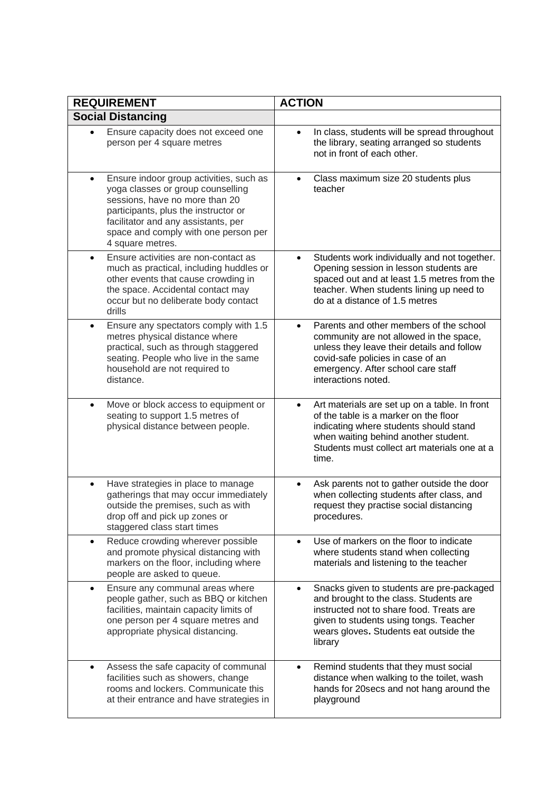| <b>REQUIREMENT</b>                                                                                                                                                                                                                                                     | <b>ACTION</b>                                                                                                                                                                                                                                   |
|------------------------------------------------------------------------------------------------------------------------------------------------------------------------------------------------------------------------------------------------------------------------|-------------------------------------------------------------------------------------------------------------------------------------------------------------------------------------------------------------------------------------------------|
| <b>Social Distancing</b>                                                                                                                                                                                                                                               |                                                                                                                                                                                                                                                 |
| Ensure capacity does not exceed one<br>person per 4 square metres                                                                                                                                                                                                      | In class, students will be spread throughout<br>$\bullet$<br>the library, seating arranged so students<br>not in front of each other.                                                                                                           |
| Ensure indoor group activities, such as<br>$\bullet$<br>yoga classes or group counselling<br>sessions, have no more than 20<br>participants, plus the instructor or<br>facilitator and any assistants, per<br>space and comply with one person per<br>4 square metres. | Class maximum size 20 students plus<br>$\bullet$<br>teacher                                                                                                                                                                                     |
| Ensure activities are non-contact as<br>$\bullet$<br>much as practical, including huddles or<br>other events that cause crowding in<br>the space. Accidental contact may<br>occur but no deliberate body contact<br>drills                                             | Students work individually and not together.<br>Opening session in lesson students are<br>spaced out and at least 1.5 metres from the<br>teacher. When students lining up need to<br>do at a distance of 1.5 metres                             |
| Ensure any spectators comply with 1.5<br>$\bullet$<br>metres physical distance where<br>practical, such as through staggered<br>seating. People who live in the same<br>household are not required to<br>distance.                                                     | Parents and other members of the school<br>$\bullet$<br>community are not allowed in the space,<br>unless they leave their details and follow<br>covid-safe policies in case of an<br>emergency. After school care staff<br>interactions noted. |
| Move or block access to equipment or<br>$\bullet$<br>seating to support 1.5 metres of<br>physical distance between people.                                                                                                                                             | Art materials are set up on a table. In front<br>$\bullet$<br>of the table is a marker on the floor<br>indicating where students should stand<br>when waiting behind another student.<br>Students must collect art materials one at a<br>time.  |
| Have strategies in place to manage<br>$\bullet$<br>gatherings that may occur immediately<br>outside the premises, such as with<br>drop off and pick up zones or<br>staggered class start times                                                                         | Ask parents not to gather outside the door<br>٠<br>when collecting students after class, and<br>request they practise social distancing<br>procedures.                                                                                          |
| Reduce crowding wherever possible<br>$\bullet$<br>and promote physical distancing with<br>markers on the floor, including where<br>people are asked to queue.                                                                                                          | Use of markers on the floor to indicate<br>where students stand when collecting<br>materials and listening to the teacher                                                                                                                       |
| Ensure any communal areas where<br>$\bullet$<br>people gather, such as BBQ or kitchen<br>facilities, maintain capacity limits of<br>one person per 4 square metres and<br>appropriate physical distancing.                                                             | Snacks given to students are pre-packaged<br>$\bullet$<br>and brought to the class. Students are<br>instructed not to share food. Treats are<br>given to students using tongs. Teacher<br>wears gloves. Students eat outside the<br>library     |
| Assess the safe capacity of communal<br>$\bullet$<br>facilities such as showers, change<br>rooms and lockers. Communicate this<br>at their entrance and have strategies in                                                                                             | Remind students that they must social<br>$\bullet$<br>distance when walking to the toilet, wash<br>hands for 20secs and not hang around the<br>playground                                                                                       |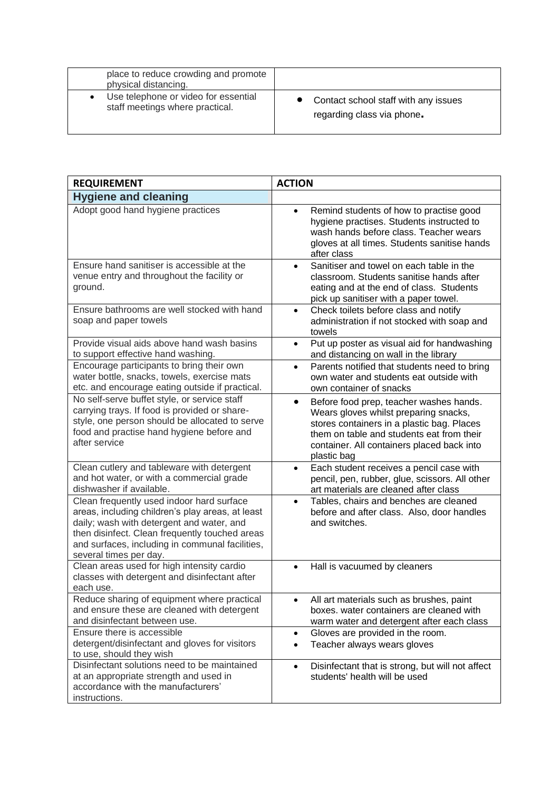| place to reduce crowding and promote<br>physical distancing. |                                      |
|--------------------------------------------------------------|--------------------------------------|
| Use telephone or video for essential                         | Contact school staff with any issues |
| staff meetings where practical.                              | regarding class via phone.           |

| <b>REQUIREMENT</b>                                                                                                                                                                                                                                                        | <b>ACTION</b>                                                                                                                                                                                                                                         |
|---------------------------------------------------------------------------------------------------------------------------------------------------------------------------------------------------------------------------------------------------------------------------|-------------------------------------------------------------------------------------------------------------------------------------------------------------------------------------------------------------------------------------------------------|
| <b>Hygiene and cleaning</b>                                                                                                                                                                                                                                               |                                                                                                                                                                                                                                                       |
| Adopt good hand hygiene practices                                                                                                                                                                                                                                         | Remind students of how to practise good<br>$\bullet$<br>hygiene practises. Students instructed to<br>wash hands before class. Teacher wears<br>gloves at all times. Students sanitise hands<br>after class                                            |
| Ensure hand sanitiser is accessible at the<br>venue entry and throughout the facility or<br>ground.                                                                                                                                                                       | Sanitiser and towel on each table in the<br>classroom. Students sanitise hands after<br>eating and at the end of class. Students<br>pick up sanitiser with a paper towel.                                                                             |
| Ensure bathrooms are well stocked with hand<br>soap and paper towels                                                                                                                                                                                                      | Check toilets before class and notify<br>$\bullet$<br>administration if not stocked with soap and<br>towels                                                                                                                                           |
| Provide visual aids above hand wash basins<br>to support effective hand washing.                                                                                                                                                                                          | Put up poster as visual aid for handwashing<br>$\bullet$<br>and distancing on wall in the library                                                                                                                                                     |
| Encourage participants to bring their own<br>water bottle, snacks, towels, exercise mats<br>etc. and encourage eating outside if practical.                                                                                                                               | Parents notified that students need to bring<br>$\bullet$<br>own water and students eat outside with<br>own container of snacks                                                                                                                       |
| No self-serve buffet style, or service staff<br>carrying trays. If food is provided or share-<br>style, one person should be allocated to serve<br>food and practise hand hygiene before and<br>after service                                                             | Before food prep, teacher washes hands.<br>$\bullet$<br>Wears gloves whilst preparing snacks,<br>stores containers in a plastic bag. Places<br>them on table and students eat from their<br>container. All containers placed back into<br>plastic bag |
| Clean cutlery and tableware with detergent<br>and hot water, or with a commercial grade<br>dishwasher if available.                                                                                                                                                       | Each student receives a pencil case with<br>pencil, pen, rubber, glue, scissors. All other<br>art materials are cleaned after class                                                                                                                   |
| Clean frequently used indoor hard surface<br>areas, including children's play areas, at least<br>daily; wash with detergent and water, and<br>then disinfect. Clean frequently touched areas<br>and surfaces, including in communal facilities,<br>several times per day. | Tables, chairs and benches are cleaned<br>before and after class. Also, door handles<br>and switches.                                                                                                                                                 |
| Clean areas used for high intensity cardio<br>classes with detergent and disinfectant after<br>each use.                                                                                                                                                                  | Hall is vacuumed by cleaners<br>$\bullet$                                                                                                                                                                                                             |
| Reduce sharing of equipment where practical<br>and ensure these are cleaned with detergent<br>and disinfectant between use.                                                                                                                                               | All art materials such as brushes, paint<br>boxes. water containers are cleaned with<br>warm water and detergent after each class                                                                                                                     |
| Ensure there is accessible<br>detergent/disinfectant and gloves for visitors<br>to use, should they wish                                                                                                                                                                  | Gloves are provided in the room.<br>$\bullet$<br>Teacher always wears gloves<br>$\bullet$                                                                                                                                                             |
| Disinfectant solutions need to be maintained<br>at an appropriate strength and used in<br>accordance with the manufacturers'<br>instructions.                                                                                                                             | Disinfectant that is strong, but will not affect<br>$\bullet$<br>students' health will be used                                                                                                                                                        |